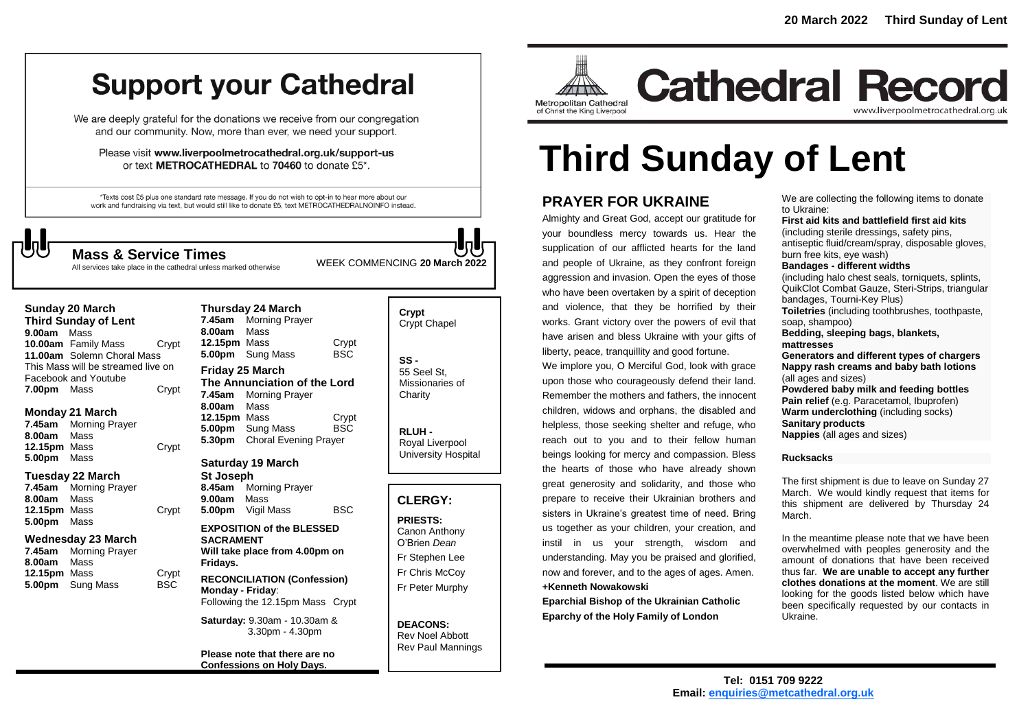## **Support your Cathedral**

We are deeply grateful for the donations we receive from our congregation and our community. Now, more than ever, we need your support.

Please visit www.liverpoolmetrocathedral.org.uk/support-us or text METROCATHEDRAL to 70460 to donate £5\*.

\*Texts cost £5 plus one standard rate message. If you do not wish to opt-in to hear more about our work and fundraising via text, but would still like to donate £5, text METROCATHEDRALNOINFO instead.

**Thursday 24 March**

WEEK COMMENCING **<sup>20</sup> March <sup>2022</sup> Mass & Service Times** All services take place in the cathedral unless marked otherwise

#### **Sunday 20 March**

**Third Sunday of Lent 9.00am** Mass **10.00am** Family Mass Crypt **11.00am** Solemn Choral Mass This Mass will be streamed live on Facebook and Youtube **7.00pm** Mass Crypt

#### **Monday 21 March**

**7.45am** Morning Prayer **8.00am** Mass **12.15pm** Mass Crypt **5.00pm** Mass

#### **Tuesday 22 March**

**7.45am** Morning Prayer **8.00am** Mass **12.15pm** Mass Crypt **5.00pm** Mass

#### **Wednesday 23 March**

| 7.45am              | <b>Morning Prayer</b>   |       |
|---------------------|-------------------------|-------|
| 8.00am              | Mass                    |       |
| <b>12.15pm</b> Mass |                         | Crypt |
|                     | <b>5.00pm</b> Sung Mass | BSC.  |
|                     |                         |       |

#### **7.45am** Morning Prayer **8.00am** Mass **12.15pm** Mass **Crypt**<br> **5.00pm** Sung Mass BSC 5.00pm Sung Mass **Friday 25 March The Annunciation of the Lord 7.45am** Morning Prayer **8.00am** Mass **12.15pm** Mass Crypt **5.00pm** Sung Mass BSC **5.30pm** Choral Evening Prayer

#### **Saturday 19 March**

**St Joseph 8.45am** Morning Prayer **9.00am** Mass **5.00pm** Vigil Mass BSC

#### **EXPOSITION of the BLESSED SACRAMENT Will take place from 4.00pm on Fridays.**

**RECONCILIATION (Confession) Monday - Friday**:

#### Following the 12.15pm Mass Crypt **Saturday:** 9.30am - 10.30am &

3.30pm - 4.30pm

**Please note that there are no Confessions on Holy Days.**

## **Crypt**  Crypt Chapel

**SS -** 55 Seel St, Missionaries of **Charity** 

**RLUH -** Royal Liverpool University Hospital

#### **CLERGY:**

**PRIESTS:** Canon Anthony O'Brien *Dean* Fr Stephen Lee Fr Chris McCoy Fr Peter Murphy

**DEACONS:** Rev Noel Abbott Rev Paul Mannings



## **Cathedral Record** www.liverpoolmetrocathedral.org.uk

# **Third Sunday of Lent**

### **PRAYER FOR UKRAINE**

Almighty and Great God, accept our gratitude for your boundless mercy towards us. Hear the supplication of our afflicted hearts for the land and people of Ukraine, as they confront foreign aggression and invasion. Open the eyes of those who have been overtaken by a spirit of deception and violence, that they be horrified by their works. Grant victory over the powers of evil that have arisen and bless Ukraine with your gifts of liberty, peace, tranquillity and good fortune.

We implore you, O Merciful God, look with grace upon those who courageously defend their land. Remember the mothers and fathers, the innocent children, widows and orphans, the disabled and helpless, those seeking shelter and refuge, who reach out to you and to their fellow human beings looking for mercy and compassion. Bless the hearts of those who have already shown great generosity and solidarity, and those who prepare to receive their Ukrainian brothers and sisters in Ukraine's greatest time of need. Bring us together as your children, your creation, and instil in us your strength, wisdom and understanding. May you be praised and glorified, now and forever, and to the ages of ages. Amen. **+Kenneth Nowakowski**

**Eparchial Bishop of the Ukrainian Catholic Eparchy of the Holy Family of London**

We are collecting the following items to donate to Ukraine:

**First aid kits and battlefield first aid kits** (including sterile dressings, safety pins, antiseptic fluid/cream/spray, disposable gloves, burn free kits, eye wash) **Bandages - different widths** (including halo chest seals, torniquets, splints, QuikClot Combat Gauze, Steri-Strips, triangular bandages, Tourni-Key Plus) **Toiletries** (including toothbrushes, toothpaste, soap, shampoo) **Bedding, sleeping bags, blankets, mattresses Generators and different types of chargers Nappy rash creams and baby bath lotions** (all ages and sizes) **Powdered baby milk and feeding bottles Pain relief** (e.g. Paracetamol, Ibuprofen) **Warm underclothing** (including socks) **Sanitary products Nappies** (all ages and sizes)

#### **Rucksacks**

The first shipment is due to leave on Sunday 27 March. We would kindly request that items for this shipment are delivered by Thursday 24 March.

In the meantime please note that we have been overwhelmed with peoples generosity and the amount of donations that have been received thus far. **We are unable to accept any further clothes donations at the moment**. We are still looking for the goods listed below which have been specifically requested by our contacts in Ukraine.